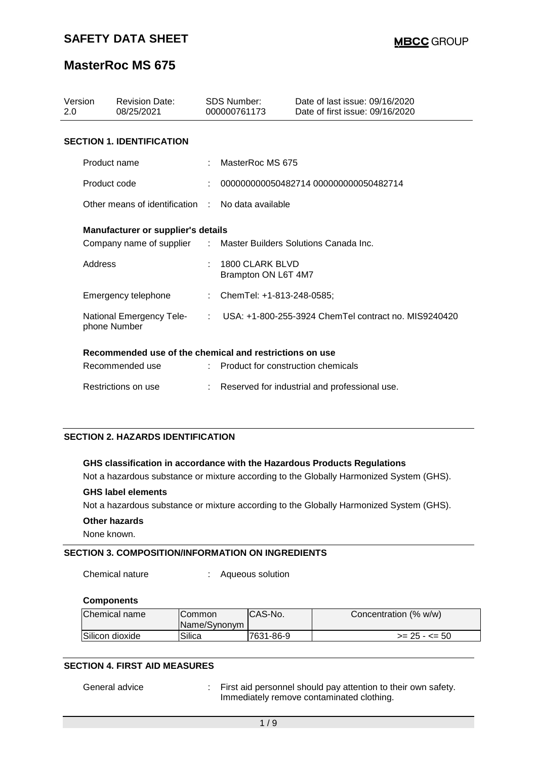| Version<br>2.0 | <b>Revision Date:</b><br>08/25/2021                              | <b>SDS Number:</b><br>000000761173     | Date of last issue: 09/16/2020<br>Date of first issue: 09/16/2020 |
|----------------|------------------------------------------------------------------|----------------------------------------|-------------------------------------------------------------------|
|                | <b>SECTION 1. IDENTIFICATION</b>                                 |                                        |                                                                   |
|                | Product name                                                     | : MasterRoc MS 675                     |                                                                   |
|                | Product code                                                     |                                        | 000000000050482714 000000000050482714                             |
|                | Other means of identification : No data available                |                                        |                                                                   |
|                | <b>Manufacturer or supplier's details</b>                        |                                        |                                                                   |
|                | Company name of supplier : Master Builders Solutions Canada Inc. |                                        |                                                                   |
| Address        |                                                                  | 1800 CLARK BLVD<br>Brampton ON L6T 4M7 |                                                                   |
|                | Emergency telephone                                              | : ChemTel: +1-813-248-0585;            |                                                                   |
|                | National Emergency Tele-<br>phone Number                         |                                        | $\pm$ USA: $+1$ -800-255-3924 ChemTel contract no. MIS9240420     |
|                | Recommended use of the chemical and restrictions on use          |                                        |                                                                   |
|                | Recommended use                                                  | : Product for construction chemicals   |                                                                   |
|                | Restrictions on use                                              |                                        | Reserved for industrial and professional use.                     |

#### **SECTION 2. HAZARDS IDENTIFICATION**

#### **GHS classification in accordance with the Hazardous Products Regulations**

Not a hazardous substance or mixture according to the Globally Harmonized System (GHS).

#### **GHS label elements**

Not a hazardous substance or mixture according to the Globally Harmonized System (GHS).

**Other hazards**

None known.

### **SECTION 3. COMPOSITION/INFORMATION ON INGREDIENTS**

Chemical nature : Aqueous solution

#### **Components**

| Chemical name   | <b>ICommon</b><br>Name/Synonym | CAS-No.   | Concentration (% w/w) |
|-----------------|--------------------------------|-----------|-----------------------|
| Silicon dioxide | Silica                         | 7631-86-9 | $>= 25 - 50$          |

### **SECTION 4. FIRST AID MEASURES**

General advice : First aid personnel should pay attention to their own safety. Immediately remove contaminated clothing.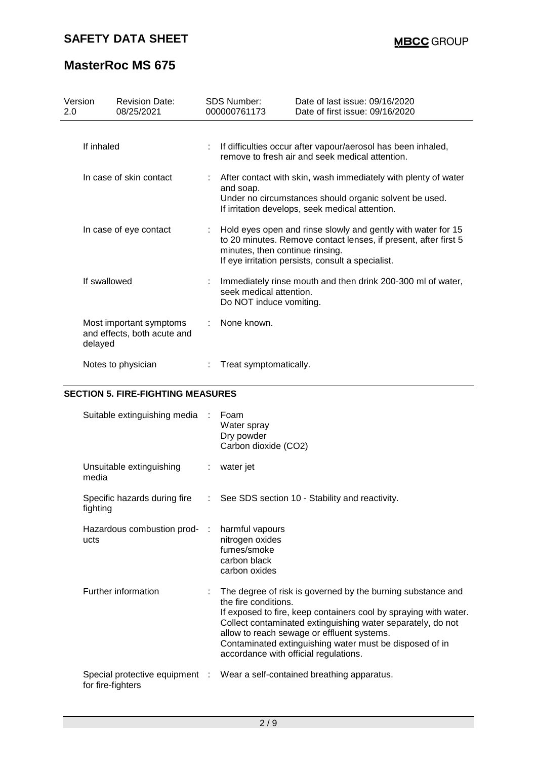| Version<br>2.0 |              | <b>Revision Date:</b><br>08/25/2021                    | <b>SDS Number:</b><br>000000761173                 | Date of last issue: 09/16/2020<br>Date of first issue: 09/16/2020                                                                                                                      |
|----------------|--------------|--------------------------------------------------------|----------------------------------------------------|----------------------------------------------------------------------------------------------------------------------------------------------------------------------------------------|
|                | If inhaled   |                                                        |                                                    | If difficulties occur after vapour/aerosol has been inhaled,<br>remove to fresh air and seek medical attention.                                                                        |
|                |              | In case of skin contact                                | and soap.                                          | After contact with skin, wash immediately with plenty of water<br>Under no circumstances should organic solvent be used.<br>If irritation develops, seek medical attention.            |
|                |              | In case of eye contact                                 | minutes, then continue rinsing.                    | : Hold eyes open and rinse slowly and gently with water for 15<br>to 20 minutes. Remove contact lenses, if present, after first 5<br>If eye irritation persists, consult a specialist. |
|                | If swallowed |                                                        | seek medical attention.<br>Do NOT induce vomiting. | Immediately rinse mouth and then drink 200-300 ml of water,                                                                                                                            |
|                | delayed      | Most important symptoms<br>and effects, both acute and | None known.                                        |                                                                                                                                                                                        |
|                |              | Notes to physician                                     | Treat symptomatically.                             |                                                                                                                                                                                        |

### **SECTION 5. FIRE-FIGHTING MEASURES**

| Suitable extinguishing media :           | Foam<br>Water spray<br>Dry powder<br>Carbon dioxide (CO2)                                                                                                                                                                                                                                                                                                                |
|------------------------------------------|--------------------------------------------------------------------------------------------------------------------------------------------------------------------------------------------------------------------------------------------------------------------------------------------------------------------------------------------------------------------------|
| Unsuitable extinguishing<br>media        | : water jet                                                                                                                                                                                                                                                                                                                                                              |
| Specific hazards during fire<br>fighting | : See SDS section 10 - Stability and reactivity.                                                                                                                                                                                                                                                                                                                         |
| Hazardous combustion prod- :<br>ucts     | harmful vapours<br>nitrogen oxides<br>fumes/smoke<br>carbon black<br>carbon oxides                                                                                                                                                                                                                                                                                       |
| Further information                      | The degree of risk is governed by the burning substance and<br>the fire conditions.<br>If exposed to fire, keep containers cool by spraying with water.<br>Collect contaminated extinguishing water separately, do not<br>allow to reach sewage or effluent systems.<br>Contaminated extinguishing water must be disposed of in<br>accordance with official regulations. |
| for fire-fighters                        | Special protective equipment : Wear a self-contained breathing apparatus.                                                                                                                                                                                                                                                                                                |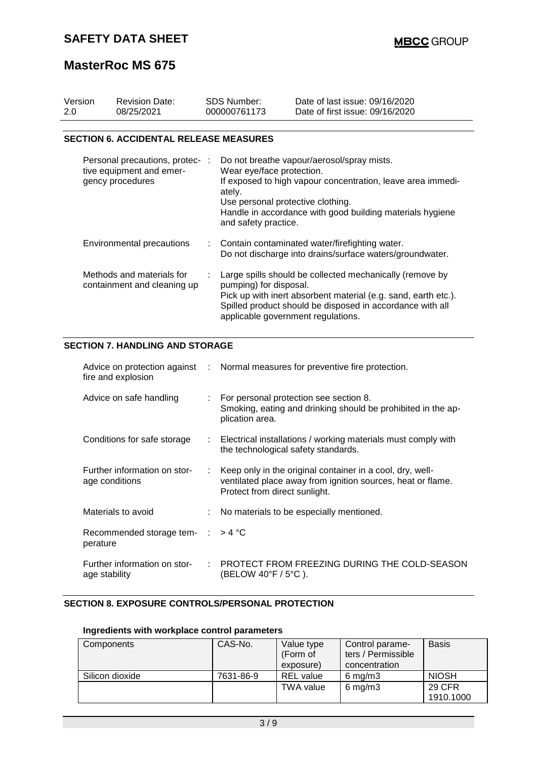| Version<br>2.0 |                           | <b>Revision Date:</b><br>08/25/2021                                             |    | SDS Number:<br>000000761173                                                                      | Date of last issue: 09/16/2020<br>Date of first issue: 09/16/2020                                                                                                                       |
|----------------|---------------------------|---------------------------------------------------------------------------------|----|--------------------------------------------------------------------------------------------------|-----------------------------------------------------------------------------------------------------------------------------------------------------------------------------------------|
|                |                           | <b>SECTION 6. ACCIDENTAL RELEASE MEASURES</b>                                   |    |                                                                                                  |                                                                                                                                                                                         |
|                |                           | Personal precautions, protec- :<br>tive equipment and emer-<br>gency procedures |    | Wear eye/face protection.<br>ately.<br>Use personal protective clothing.<br>and safety practice. | Do not breathe vapour/aerosol/spray mists.<br>If exposed to high vapour concentration, leave area immedi-<br>Handle in accordance with good building materials hygiene                  |
|                | Environmental precautions |                                                                                 |    |                                                                                                  | Contain contaminated water/firefighting water.<br>Do not discharge into drains/surface waters/groundwater.                                                                              |
|                |                           | Methods and materials for<br>containment and cleaning up                        |    | pumping) for disposal.<br>applicable government regulations.                                     | Large spills should be collected mechanically (remove by<br>Pick up with inert absorbent material (e.g. sand, earth etc.).<br>Spilled product should be disposed in accordance with all |
|                |                           | <b>SECTION 7. HANDLING AND STORAGE</b>                                          |    |                                                                                                  |                                                                                                                                                                                         |
|                |                           | Advice on protection against<br>fire and explosion                              |    |                                                                                                  | Normal measures for preventive fire protection.                                                                                                                                         |
|                |                           | Advice on safe handling                                                         |    | plication area.                                                                                  | For personal protection see section 8.<br>Smoking, eating and drinking should be prohibited in the ap-                                                                                  |
|                |                           | Conditions for safe storage                                                     | ÷. | the technological safety standards.                                                              | Electrical installations / working materials must comply with                                                                                                                           |
|                |                           | Further information on stor-<br>age conditions                                  | ÷  | Protect from direct sunlight.                                                                    | Keep only in the original container in a cool, dry, well-<br>ventilated place away from ignition sources, heat or flame.                                                                |
|                |                           | Materials to avoid                                                              |    |                                                                                                  | No materials to be especially mentioned.                                                                                                                                                |
|                | perature                  | Recommended storage tem-                                                        |    | $>$ 4 °C                                                                                         |                                                                                                                                                                                         |

### **SECTION 8. EXPOSURE CONTROLS/PERSONAL PROTECTION**

### **Ingredients with workplace control parameters**

age stability

| Components      | CAS-No.   | Value type<br>(Form of<br>exposure) | Control parame-<br>ters / Permissible<br>concentration | <b>Basis</b>  |
|-----------------|-----------|-------------------------------------|--------------------------------------------------------|---------------|
| Silicon dioxide | 7631-86-9 | <b>REL</b> value                    | $6 \text{ mg/m}$ 3                                     | <b>NIOSH</b>  |
|                 |           | <b>TWA value</b>                    | $6$ mg/m $3$                                           | <b>29 CFR</b> |
|                 |           |                                     |                                                        | 1910.1000     |

Further information on stor-: PROTECT FROM FREEZING DURING THE COLD-SEASON

(BELOW 40°F / 5°C ).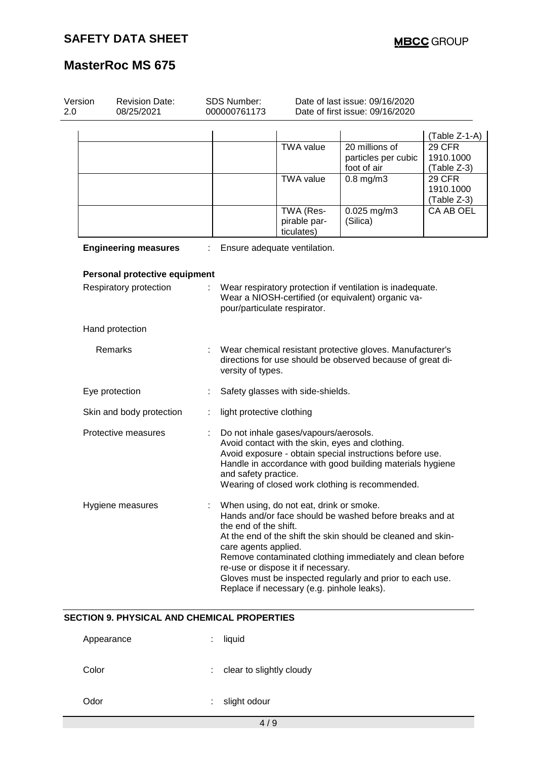| Version<br><b>Revision Date:</b><br>2.0<br>08/25/2021 |                               | <b>SDS Number:</b><br>000000761173 | Date of last issue: 09/16/2020<br>Date of first issue: 09/16/2020 |                                                                                                                             |                                                                                                                                                                                                                                                   |                                           |
|-------------------------------------------------------|-------------------------------|------------------------------------|-------------------------------------------------------------------|-----------------------------------------------------------------------------------------------------------------------------|---------------------------------------------------------------------------------------------------------------------------------------------------------------------------------------------------------------------------------------------------|-------------------------------------------|
|                                                       |                               |                                    |                                                                   |                                                                                                                             |                                                                                                                                                                                                                                                   | (Table Z-1-A)                             |
|                                                       |                               |                                    |                                                                   | <b>TWA value</b>                                                                                                            | 20 millions of<br>particles per cubic<br>foot of air                                                                                                                                                                                              | <b>29 CFR</b><br>1910.1000<br>(Table Z-3) |
|                                                       |                               |                                    |                                                                   | <b>TWA value</b>                                                                                                            | $0.8$ mg/m $3$                                                                                                                                                                                                                                    | 29 CFR<br>1910.1000<br>(Table Z-3)        |
|                                                       |                               |                                    |                                                                   | TWA (Res-<br>pirable par-<br>ticulates)                                                                                     | 0.025 mg/m3<br>(Silica)                                                                                                                                                                                                                           | CA AB OEL                                 |
|                                                       | <b>Engineering measures</b>   |                                    |                                                                   | Ensure adequate ventilation.                                                                                                |                                                                                                                                                                                                                                                   |                                           |
|                                                       | Personal protective equipment |                                    |                                                                   |                                                                                                                             |                                                                                                                                                                                                                                                   |                                           |
|                                                       | Respiratory protection        |                                    | pour/particulate respirator.                                      |                                                                                                                             | Wear respiratory protection if ventilation is inadequate.<br>Wear a NIOSH-certified (or equivalent) organic va-                                                                                                                                   |                                           |
|                                                       | Hand protection               |                                    |                                                                   |                                                                                                                             |                                                                                                                                                                                                                                                   |                                           |
|                                                       | Remarks                       |                                    | versity of types.                                                 |                                                                                                                             | Wear chemical resistant protective gloves. Manufacturer's<br>directions for use should be observed because of great di-                                                                                                                           |                                           |
|                                                       | Eye protection                |                                    |                                                                   | Safety glasses with side-shields.                                                                                           |                                                                                                                                                                                                                                                   |                                           |
|                                                       | Skin and body protection      |                                    | light protective clothing                                         |                                                                                                                             |                                                                                                                                                                                                                                                   |                                           |
|                                                       | Protective measures           |                                    | and safety practice.                                              | Do not inhale gases/vapours/aerosols.                                                                                       | Avoid contact with the skin, eyes and clothing.<br>Avoid exposure - obtain special instructions before use.<br>Handle in accordance with good building materials hygiene<br>Wearing of closed work clothing is recommended.                       |                                           |
|                                                       | Hygiene measures              |                                    | the end of the shift.<br>care agents applied.                     | When using, do not eat, drink or smoke.<br>re-use or dispose it if necessary.<br>Replace if necessary (e.g. pinhole leaks). | Hands and/or face should be washed before breaks and at<br>At the end of the shift the skin should be cleaned and skin-<br>Remove contaminated clothing immediately and clean before<br>Gloves must be inspected regularly and prior to each use. |                                           |

## **SECTION 9. PHYSICAL AND CHEMICAL PROPERTIES**

| Appearance | liquid                   |
|------------|--------------------------|
| Color      | clear to slightly cloudy |
| Odor       | slight odour             |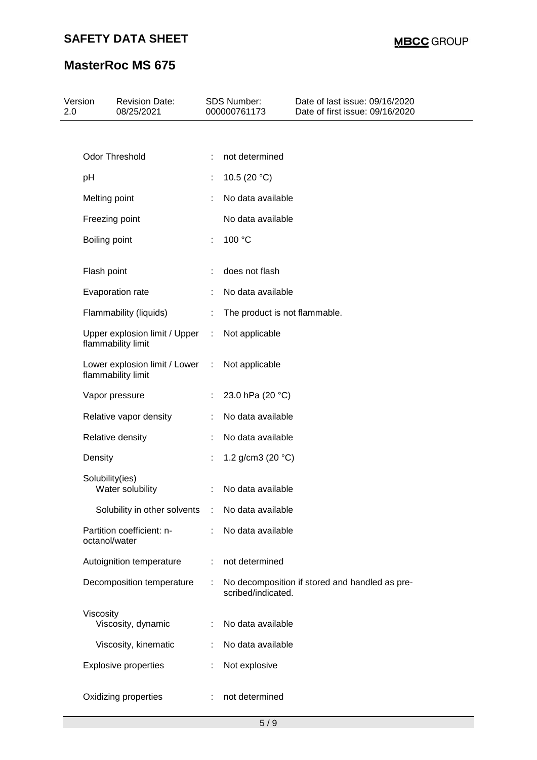# **SAFETY DATA SHEET**

# **MasterRoc MS 675**

| 2.0 | Version         | <b>Revision Date:</b><br>08/25/2021                 |   | <b>SDS Number:</b><br>000000761173 | Date of last issue: 09/16/2020<br>Date of first issue: 09/16/2020 |
|-----|-----------------|-----------------------------------------------------|---|------------------------------------|-------------------------------------------------------------------|
|     |                 |                                                     |   |                                    |                                                                   |
|     |                 | Odor Threshold                                      | ÷ | not determined                     |                                                                   |
|     | pH              |                                                     |   | 10.5 (20 $°C$ )                    |                                                                   |
|     | Melting point   |                                                     |   | No data available                  |                                                                   |
|     |                 | Freezing point                                      |   | No data available                  |                                                                   |
|     | Boiling point   |                                                     | ÷ | 100 °C                             |                                                                   |
|     | Flash point     |                                                     |   | does not flash                     |                                                                   |
|     |                 | Evaporation rate                                    |   | No data available                  |                                                                   |
|     |                 | Flammability (liquids)                              |   | The product is not flammable.      |                                                                   |
|     |                 | Upper explosion limit / Upper<br>flammability limit | ÷ | Not applicable                     |                                                                   |
|     |                 | Lower explosion limit / Lower<br>flammability limit | ÷ | Not applicable                     |                                                                   |
|     |                 | Vapor pressure                                      |   | 23.0 hPa (20 °C)                   |                                                                   |
|     |                 | Relative vapor density                              |   | No data available                  |                                                                   |
|     |                 | Relative density                                    |   | No data available                  |                                                                   |
|     | Density         |                                                     |   | 1.2 g/cm3 (20 $°C$ )               |                                                                   |
|     | Solubility(ies) | Water solubility                                    | ÷ | No data available                  |                                                                   |
|     |                 | Solubility in other solvents                        | ÷ | No data available                  |                                                                   |
|     | octanol/water   | Partition coefficient: n-                           | ÷ | No data available                  |                                                                   |
|     |                 | Autoignition temperature                            |   | not determined                     |                                                                   |
|     |                 | Decomposition temperature                           |   | scribed/indicated.                 | No decomposition if stored and handled as pre-                    |
|     | Viscosity       | Viscosity, dynamic                                  | ÷ | No data available                  |                                                                   |
|     |                 | Viscosity, kinematic                                |   | No data available                  |                                                                   |
|     |                 | <b>Explosive properties</b>                         |   | Not explosive                      |                                                                   |
|     |                 | Oxidizing properties                                |   | not determined                     |                                                                   |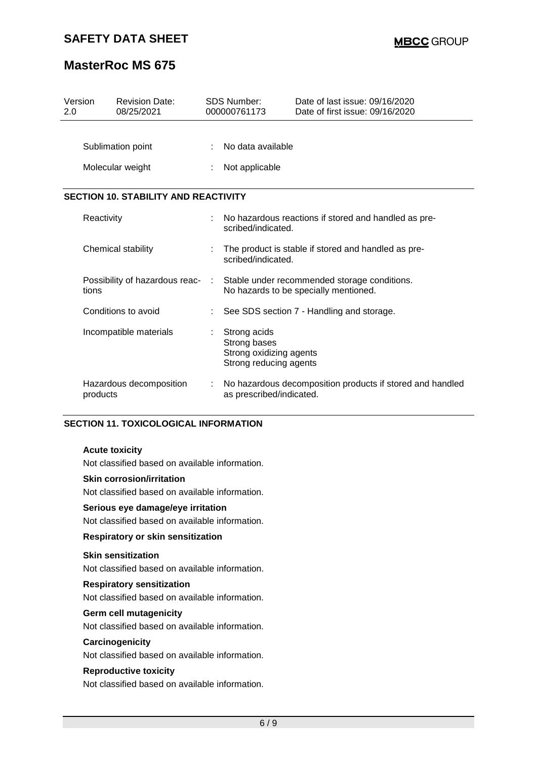| Version<br>2.0 |                                             | <b>Revision Date:</b><br>08/25/2021   |  | <b>SDS Number:</b><br>000000761173                                                | Date of last issue: 09/16/2020<br>Date of first issue: 09/16/2020                     |  |  |
|----------------|---------------------------------------------|---------------------------------------|--|-----------------------------------------------------------------------------------|---------------------------------------------------------------------------------------|--|--|
|                |                                             | Sublimation point<br>Molecular weight |  | No data available<br>Not applicable                                               |                                                                                       |  |  |
|                | <b>SECTION 10. STABILITY AND REACTIVITY</b> |                                       |  |                                                                                   |                                                                                       |  |  |
|                | Reactivity                                  |                                       |  | scribed/indicated.                                                                | No hazardous reactions if stored and handled as pre-                                  |  |  |
|                |                                             | Chemical stability                    |  | scribed/indicated.                                                                | The product is stable if stored and handled as pre-                                   |  |  |
|                | tions                                       | Possibility of hazardous reac- :      |  |                                                                                   | Stable under recommended storage conditions.<br>No hazards to be specially mentioned. |  |  |
|                |                                             | Conditions to avoid                   |  |                                                                                   | See SDS section 7 - Handling and storage.                                             |  |  |
|                |                                             | Incompatible materials                |  | Strong acids<br>Strong bases<br>Strong oxidizing agents<br>Strong reducing agents |                                                                                       |  |  |
|                | products                                    | Hazardous decomposition               |  | as prescribed/indicated.                                                          | No hazardous decomposition products if stored and handled                             |  |  |

### **SECTION 11. TOXICOLOGICAL INFORMATION**

#### **Acute toxicity**

Not classified based on available information.

#### **Skin corrosion/irritation**

Not classified based on available information.

### **Serious eye damage/eye irritation**

Not classified based on available information.

### **Respiratory or skin sensitization**

#### **Skin sensitization**

Not classified based on available information.

#### **Respiratory sensitization**

Not classified based on available information.

#### **Germ cell mutagenicity**

Not classified based on available information.

#### **Carcinogenicity**

Not classified based on available information.

#### **Reproductive toxicity**

Not classified based on available information.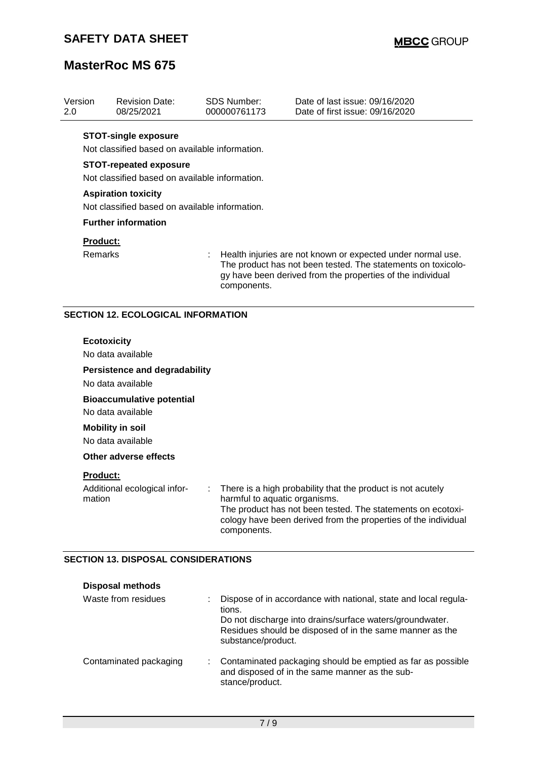| Version<br>2.0 |                                                                                                                                | <b>Revision Date:</b><br>08/25/2021                                                                            |  | <b>SDS Number:</b><br>000000761173           | Date of last issue: 09/16/2020<br>Date of first issue: 09/16/2020                                                                                                                              |  |  |  |
|----------------|--------------------------------------------------------------------------------------------------------------------------------|----------------------------------------------------------------------------------------------------------------|--|----------------------------------------------|------------------------------------------------------------------------------------------------------------------------------------------------------------------------------------------------|--|--|--|
|                |                                                                                                                                | <b>STOT-single exposure</b><br>Not classified based on available information.<br><b>STOT-repeated exposure</b> |  |                                              |                                                                                                                                                                                                |  |  |  |
|                | Not classified based on available information.<br><b>Aspiration toxicity</b><br>Not classified based on available information. |                                                                                                                |  |                                              |                                                                                                                                                                                                |  |  |  |
|                |                                                                                                                                | <b>Further information</b>                                                                                     |  |                                              |                                                                                                                                                                                                |  |  |  |
|                | Product:<br>Remarks                                                                                                            |                                                                                                                |  | components.                                  | Health injuries are not known or expected under normal use.<br>The product has not been tested. The statements on toxicolo-<br>gy have been derived from the properties of the individual      |  |  |  |
|                |                                                                                                                                | <b>SECTION 12. ECOLOGICAL INFORMATION</b>                                                                      |  |                                              |                                                                                                                                                                                                |  |  |  |
|                | <b>Ecotoxicity</b>                                                                                                             | No data available<br><b>Persistence and degradability</b><br>No data available                                 |  |                                              |                                                                                                                                                                                                |  |  |  |
|                |                                                                                                                                | <b>Bioaccumulative potential</b><br>No data available                                                          |  |                                              |                                                                                                                                                                                                |  |  |  |
|                |                                                                                                                                | <b>Mobility in soil</b><br>No data available                                                                   |  |                                              |                                                                                                                                                                                                |  |  |  |
|                |                                                                                                                                | <b>Other adverse effects</b>                                                                                   |  |                                              |                                                                                                                                                                                                |  |  |  |
|                | Product:<br>mation                                                                                                             | Additional ecological infor-                                                                                   |  | harmful to aquatic organisms.<br>components. | : There is a high probability that the product is not acutely<br>The product has not been tested. The statements on ecotoxi-<br>cology have been derived from the properties of the individual |  |  |  |
|                |                                                                                                                                | <b>SECTION 13. DISPOSAL CONSIDERATIONS</b><br><b>Disposal methods</b>                                          |  |                                              |                                                                                                                                                                                                |  |  |  |

| Waste from residues    | Dispose of in accordance with national, state and local regula-<br>tions.<br>Do not discharge into drains/surface waters/groundwater.<br>Residues should be disposed of in the same manner as the<br>substance/product. |
|------------------------|-------------------------------------------------------------------------------------------------------------------------------------------------------------------------------------------------------------------------|
| Contaminated packaging | Contaminated packaging should be emptied as far as possible<br>and disposed of in the same manner as the sub-<br>stance/product.                                                                                        |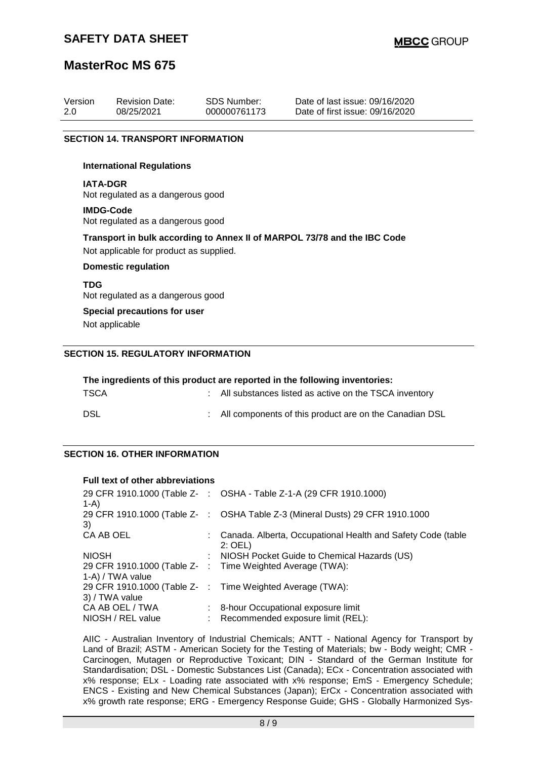## **SAFETY DATA SHEET**

## **MasterRoc MS 675**

| Version | <b>Revision Date:</b> | SDS Number:  | Date of last issue: 09/16/2020  |
|---------|-----------------------|--------------|---------------------------------|
| 2.0     | 08/25/2021            | 000000761173 | Date of first issue: 09/16/2020 |

#### **SECTION 14. TRANSPORT INFORMATION**

#### **International Regulations**

**IATA-DGR** Not regulated as a dangerous good

#### **IMDG-Code** Not regulated as a dangerous good

**Transport in bulk according to Annex II of MARPOL 73/78 and the IBC Code** Not applicable for product as supplied.

#### **Domestic regulation**

#### **TDG**

Not regulated as a dangerous good

### **Special precautions for user**

Not applicable

### **SECTION 15. REGULATORY INFORMATION**

| The ingredients of this product are reported in the following inventories: |  |                                                         |  |  |  |
|----------------------------------------------------------------------------|--|---------------------------------------------------------|--|--|--|
| <b>TSCA</b>                                                                |  | : All substances listed as active on the TSCA inventory |  |  |  |
| DSL                                                                        |  | All components of this product are on the Canadian DSL  |  |  |  |

### **SECTION 16. OTHER INFORMATION**

#### **Full text of other abbreviations**

| $1-A$             |    | 29 CFR 1910.1000 (Table Z- : OSHA - Table Z-1-A (29 CFR 1910.1000)          |
|-------------------|----|-----------------------------------------------------------------------------|
| 3)                |    | 29 CFR 1910.1000 (Table Z-: OSHA Table Z-3 (Mineral Dusts) 29 CFR 1910.1000 |
| CA AB OEL         |    | Canada. Alberta, Occupational Health and Safety Code (table<br>$2:$ OEL)    |
| <b>NIOSH</b>      |    | : NIOSH Pocket Guide to Chemical Hazards (US)                               |
| 1-A) / TWA value  |    | 29 CFR 1910.1000 (Table Z- : Time Weighted Average (TWA):                   |
| 3) / TWA value    |    | 29 CFR 1910.1000 (Table Z- : Time Weighted Average (TWA):                   |
| CA AB OEL / TWA   |    | : 8-hour Occupational exposure limit                                        |
| NIOSH / REL value | t. | Recommended exposure limit (REL):                                           |

AIIC - Australian Inventory of Industrial Chemicals; ANTT - National Agency for Transport by Land of Brazil; ASTM - American Society for the Testing of Materials; bw - Body weight; CMR - Carcinogen, Mutagen or Reproductive Toxicant; DIN - Standard of the German Institute for Standardisation; DSL - Domestic Substances List (Canada); ECx - Concentration associated with x% response; ELx - Loading rate associated with x% response; EmS - Emergency Schedule; ENCS - Existing and New Chemical Substances (Japan); ErCx - Concentration associated with x% growth rate response; ERG - Emergency Response Guide; GHS - Globally Harmonized Sys-